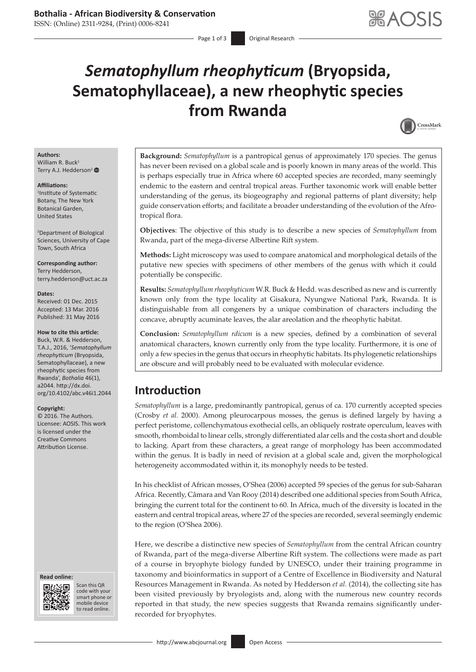ISSN: (Online) 2311-9284, (Print) 0006-8241

# *Sematophyllum rheophyticum* **(Bryopsida, Sematophyllaceae), a new rheophytic species from Rwanda**



#### **Authors:** William R. Buck<sup>1</sup>

Terry A.J. Hedderson<sup>2</sup>

#### **Affiliations:**

1 Institute of Systematic Botany, The New York Botanical Garden, United States

2 Department of Biological Sciences, University of Cape Town, South Africa

**Corresponding author:** Terry Hedderson, [terry.hedderson@uct.ac.za](mailto:terry.hedderson@uct.ac.za)

#### **Dates:**

Received: 01 Dec. 2015 Accepted: 13 Mar. 2016 Published: 31 May 2016

#### **How to cite this article:**

Buck, W.R. & Hedderson, T.A.J., 2016, '*Sematophyllum rheophyticum* (Bryopsida, Sematophyllaceae), a new rheophytic species from Rwanda', *Bothalia* 46(1), a2044. [http://dx.doi.](http://dx.doi.org/10.4102/abc.v46i1.2044) [org/10.4102/abc.v46i1.2044](http://dx.doi.org/10.4102/abc.v46i1.2044)

#### **Copyright:**

© 2016. The Authors. Licensee: AOSIS. This work is licensed under the Creative Commons Attribution License.

#### **Read online: Read**



Scan this QR code with your Scan this QR<br>code with your<br>smart phone or<br>mobile device mobile device to read online. to read online.

**Background:** *Sematophyllum* is a pantropical genus of approximately 170 species. The genus has never been revised on a global scale and is poorly known in many areas of the world. This is perhaps especially true in Africa where 60 accepted species are recorded, many seemingly endemic to the eastern and central tropical areas. Further taxonomic work will enable better understanding of the genus, its biogeography and regional patterns of plant diversity; help guide conservation efforts; and facilitate a broader understanding of the evolution of the Afrotropical flora.

**Objectives**: The objective of this study is to describe a new species of *Sematophyllum* from Rwanda, part of the mega-diverse Albertine Rift system.

**Methods:** Light microscopy was used to compare anatomical and morphological details of the putative new species with specimens of other members of the genus with which it could potentially be conspecific.

**Results:** *Sematophyllum rheophyticum* W.R. Buck & Hedd. was described as new and is currently known only from the type locality at Gisakura, Nyungwe National Park, Rwanda. It is distinguishable from all congeners by a unique combination of characters including the concave, abruptly acuminate leaves, the alar areolation and the rheophytic habitat.

**Conclusion:** *Sematophyllum rdicum* is a new species, defined by a combination of several anatomical characters, known currently only from the type locality. Furthermore, it is one of only a few species in the genus that occurs in rheophytic habitats. Its phylogenetic relationships are obscure and will probably need to be evaluated with molecular evidence.

## **Introduction**

*Sematophyllum* is a large, predominantly pantropical, genus of ca. 170 currently accepted species (Crosby *et al.* 2000). Among pleurocarpous mosses, the genus is defined largely by having a perfect peristome, collenchymatous exothecial cells, an obliquely rostrate operculum, leaves with smooth, rhomboidal to linear cells, strongly differentiated alar cells and the costa short and double to lacking. Apart from these characters, a great range of morphology has been accommodated within the genus. It is badly in need of revision at a global scale and, given the morphological heterogeneity accommodated within it, its monophyly needs to be tested.

In his checklist of African mosses, O'Shea (2006) accepted 59 species of the genus for sub-Saharan Africa. Recently, Câmara and Van Rooy (2014) described one additional species from South Africa, bringing the current total for the continent to 60. In Africa, much of the diversity is located in the eastern and central tropical areas, where 27 of the species are recorded, several seemingly endemic to the region (O'Shea 2006).

Here, we describe a distinctive new species of *Sematophyllum* from the central African country of Rwanda, part of the mega-diverse Albertine Rift system. The collections were made as part of a course in bryophyte biology funded by UNESCO, under their training programme in taxonomy and bioinformatics in support of a Centre of Excellence in Biodiversity and Natural Resources Management in Rwanda. As noted by Hedderson *et al.* (2014), the collecting site has been visited previously by bryologists and, along with the numerous new country records reported in that study, the new species suggests that Rwanda remains significantly underrecorded for bryophytes.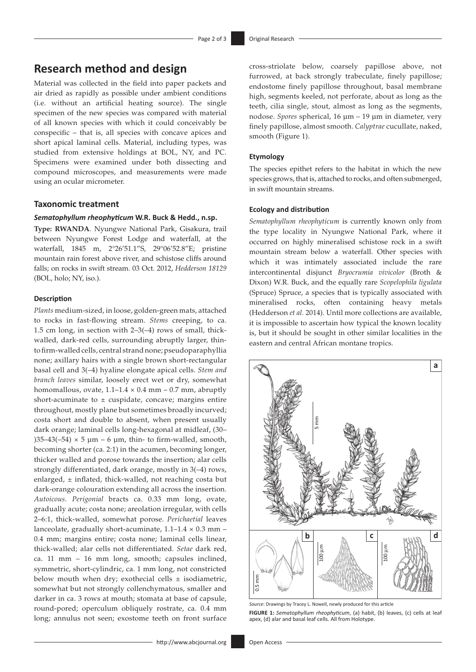### **Research method and design**

Material was collected in the field into paper packets and air dried as rapidly as possible under ambient conditions (i.e. without an artificial heating source). The single specimen of the new species was compared with material of all known species with which it could conceivably be conspecific – that is, all species with concave apices and short apical laminal cells. Material, including types, was studied from extensive holdings at BOL, NY, and PC. Specimens were examined under both dissecting and compound microscopes, and measurements were made using an ocular micrometer.

#### **Taxonomic treatment**

#### *Sematophyllum rheophyticum* **W.R. Buck & Hedd., n.sp.**

**Type: RWANDA**. Nyungwe National Park, Gisakura, trail between Nyungwe Forest Lodge and waterfall, at the waterfall, 1845 m, 2°26'51.1"S, 29°06'52.8"E; pristine mountain rain forest above river, and schistose cliffs around falls; on rocks in swift stream. 03 Oct. 2012, *Hedderson 18129* (BOL, holo; NY, iso.).

#### **Description**

*Plants* medium-sized, in loose, golden-green mats, attached to rocks in fast-flowing stream. *Stems* creeping, to ca. 1.5 cm long, in section with 2–3(–4) rows of small, thickwalled, dark-red cells, surrounding abruptly larger, thinto firm-walled cells, central strand none; pseudoparaphyllia none; axillary hairs with a single brown short-rectangular basal cell and 3(–4) hyaline elongate apical cells. *Stem and branch leaves* similar, loosely erect wet or dry, somewhat homomallous, ovate,  $1.1-1.4 \times 0.4$  mm – 0.7 mm, abruptly short-acuminate to  $\pm$  cuspidate, concave; margins entire throughout, mostly plane but sometimes broadly incurved; costa short and double to absent, when present usually dark orange; laminal cells long-hexagonal at midleaf, (30– )35–43(–54)  $\times$  5  $\mu$ m – 6  $\mu$ m, thin- to firm-walled, smooth, becoming shorter (ca. 2:1) in the acumen, becoming longer, thicker walled and porose towards the insertion; alar cells strongly differentiated, dark orange, mostly in 3(–4) rows, enlarged, ± inflated, thick-walled, not reaching costa but dark-orange colouration extending all across the insertion. *Autoicous*. *Perigonial* bracts ca. 0.33 mm long, ovate, gradually acute; costa none; areolation irregular, with cells 2–6:1, thick-walled, somewhat porose. *Perichaetial* leaves lanceolate, gradually short-acuminate,  $1.1-1.4 \times 0.3$  mm – 0.4 mm; margins entire; costa none; laminal cells linear, thick-walled; alar cells not differentiated. *Setae* dark red, ca. 11 mm – 16 mm long, smooth; capsules inclined, symmetric, short-cylindric, ca. 1 mm long, not constricted below mouth when dry; exothecial cells  $\pm$  isodiametric, somewhat but not strongly collenchymatous, smaller and darker in ca. 3 rows at mouth; stomata at base of capsule, round-pored; operculum obliquely rostrate, ca. 0.4 mm long; annulus not seen; exostome teeth on front surface cross-striolate below, coarsely papillose above, not furrowed, at back strongly trabeculate, finely papillose; endostome finely papillose throughout, basal membrane high, segments keeled, not perforate, about as long as the teeth, cilia single, stout, almost as long as the segments, nodose. *Spores* spherical, 16 µm – 19 µm in diameter, very finely papillose, almost smooth. *Calyptrae* cucullate, naked, smooth (Figure 1).

#### **Etymology**

The species epithet refers to the habitat in which the new species grows, that is, attached to rocks, and often submerged, in swift mountain streams.

#### **Ecology and distribution**

*Sematophyllum rheophyticum* is currently known only from the type locality in Nyungwe National Park, where it occurred on highly mineralised schistose rock in a swift mountain stream below a waterfall. Other species with which it was intimately associated include the rare intercontinental disjunct *Bryocrumia vivicolor* (Broth & Dixon) W.R. Buck, and the equally rare *Scopelophila ligulata* (Spruce) Spruce, a species that is typically associated with mineralised rocks, often containing heavy metals (Hedderson *et al.* 2014). Until more collections are available, it is impossible to ascertain how typical the known locality is, but it should be sought in other similar localities in the eastern and central African montane tropics.



*Source*: Drawings by Tracey L. Nowell, newly produced for this article **FIGURE 1:** *Sematophyllum rheophyticum*, (a) habit, (b) leaves, (c) cells at leaf apex, (d) alar and basal leaf cells. All from Holotype.